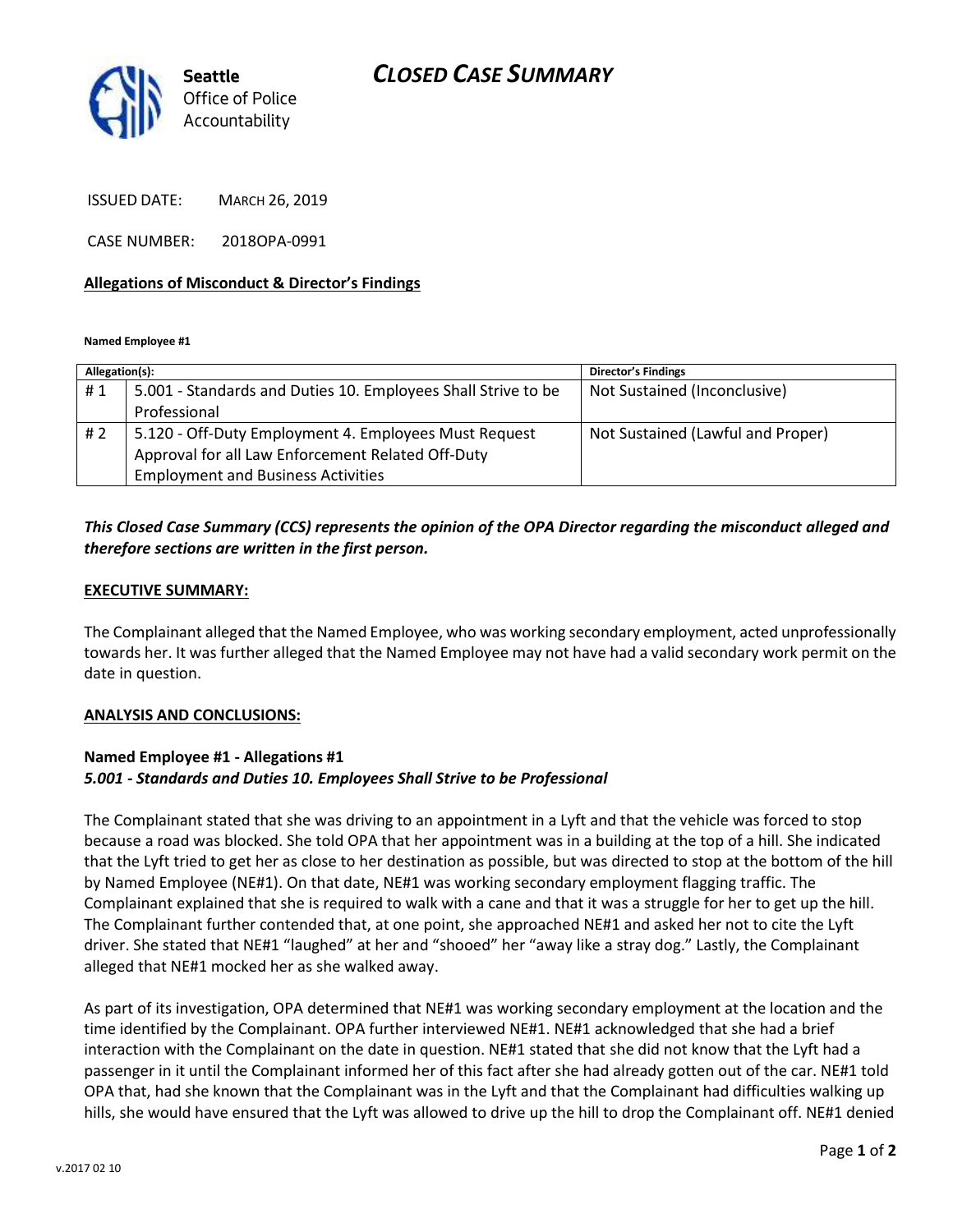## *CLOSED CASE SUMMARY*



ISSUED DATE: MARCH 26, 2019

CASE NUMBER: 2018OPA-0991

#### **Allegations of Misconduct & Director's Findings**

**Named Employee #1**

| Allegation(s): |                                                               | <b>Director's Findings</b>        |
|----------------|---------------------------------------------------------------|-----------------------------------|
| #1             | 5.001 - Standards and Duties 10. Employees Shall Strive to be | Not Sustained (Inconclusive)      |
|                | Professional                                                  |                                   |
| # 2            | 5.120 - Off-Duty Employment 4. Employees Must Request         | Not Sustained (Lawful and Proper) |
|                | Approval for all Law Enforcement Related Off-Duty             |                                   |
|                | <b>Employment and Business Activities</b>                     |                                   |
|                |                                                               |                                   |

## *This Closed Case Summary (CCS) represents the opinion of the OPA Director regarding the misconduct alleged and therefore sections are written in the first person.*

#### **EXECUTIVE SUMMARY:**

The Complainant alleged that the Named Employee, who was working secondary employment, acted unprofessionally towards her. It was further alleged that the Named Employee may not have had a valid secondary work permit on the date in question.

#### **ANALYSIS AND CONCLUSIONS:**

## **Named Employee #1 - Allegations #1** *5.001 - Standards and Duties 10. Employees Shall Strive to be Professional*

The Complainant stated that she was driving to an appointment in a Lyft and that the vehicle was forced to stop because a road was blocked. She told OPA that her appointment was in a building at the top of a hill. She indicated that the Lyft tried to get her as close to her destination as possible, but was directed to stop at the bottom of the hill by Named Employee (NE#1). On that date, NE#1 was working secondary employment flagging traffic. The Complainant explained that she is required to walk with a cane and that it was a struggle for her to get up the hill. The Complainant further contended that, at one point, she approached NE#1 and asked her not to cite the Lyft driver. She stated that NE#1 "laughed" at her and "shooed" her "away like a stray dog." Lastly, the Complainant alleged that NE#1 mocked her as she walked away.

As part of its investigation, OPA determined that NE#1 was working secondary employment at the location and the time identified by the Complainant. OPA further interviewed NE#1. NE#1 acknowledged that she had a brief interaction with the Complainant on the date in question. NE#1 stated that she did not know that the Lyft had a passenger in it until the Complainant informed her of this fact after she had already gotten out of the car. NE#1 told OPA that, had she known that the Complainant was in the Lyft and that the Complainant had difficulties walking up hills, she would have ensured that the Lyft was allowed to drive up the hill to drop the Complainant off. NE#1 denied